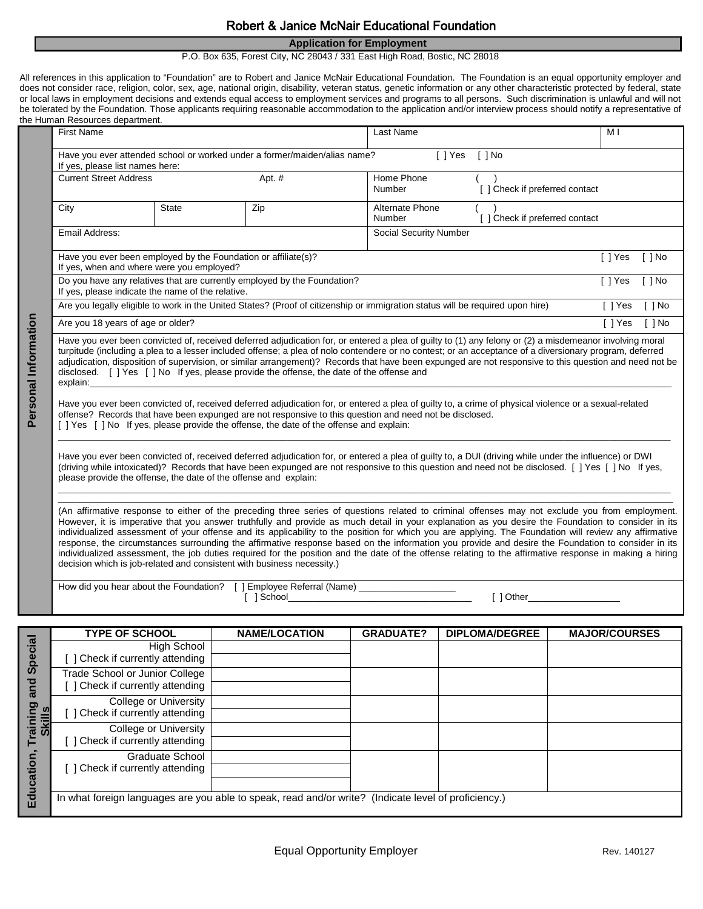## Robert & Janice McNair Educational Foundation

## **Application for Employment**

P.O. Box 635, Forest City, NC 28043 / 331 East High Road, Bostic, NC 28018

All references in this application to "Foundation" are to Robert and Janice McNair Educational Foundation. The Foundation is an equal opportunity employer and does not consider race, religion, color, sex, age, national origin, disability, veteran status, genetic information or any other characteristic protected by federal, state or local laws in employment decisions and extends equal access to employment services and programs to all persons. Such discrimination is unlawful and will not be tolerated by the Foundation. Those applicants requiring reasonable accommodation to the application and/or interview process should notify a representative of the Human Resources department.

|                      | <b>First Name</b>                                                                                                                                                                                                                                                                                                                                                                                                                                                                                                                                                                                                                                                                                                                                                                                                                                           |              |     | Last Name                                              |                                | M <sub>1</sub> |          |
|----------------------|-------------------------------------------------------------------------------------------------------------------------------------------------------------------------------------------------------------------------------------------------------------------------------------------------------------------------------------------------------------------------------------------------------------------------------------------------------------------------------------------------------------------------------------------------------------------------------------------------------------------------------------------------------------------------------------------------------------------------------------------------------------------------------------------------------------------------------------------------------------|--------------|-----|--------------------------------------------------------|--------------------------------|----------------|----------|
|                      | Have you ever attended school or worked under a former/maiden/alias name?<br>$[ ]$ Yes<br>$[ ]$ No<br>If yes, please list names here:                                                                                                                                                                                                                                                                                                                                                                                                                                                                                                                                                                                                                                                                                                                       |              |     |                                                        |                                |                |          |
|                      | <b>Current Street Address</b><br>Apt. #                                                                                                                                                                                                                                                                                                                                                                                                                                                                                                                                                                                                                                                                                                                                                                                                                     |              |     | Home Phone<br>[ ] Check if preferred contact<br>Number |                                |                |          |
|                      | City                                                                                                                                                                                                                                                                                                                                                                                                                                                                                                                                                                                                                                                                                                                                                                                                                                                        | <b>State</b> | Zip | Alternate Phone<br><b>Number</b>                       | [ ] Check if preferred contact |                |          |
|                      | Email Address:                                                                                                                                                                                                                                                                                                                                                                                                                                                                                                                                                                                                                                                                                                                                                                                                                                              |              |     | Social Security Number                                 |                                |                |          |
|                      | Have you ever been employed by the Foundation or affiliate(s)?<br>If yes, when and where were you employed?                                                                                                                                                                                                                                                                                                                                                                                                                                                                                                                                                                                                                                                                                                                                                 |              |     |                                                        |                                | [ ] Yes        | $[ ]$ No |
|                      | Do you have any relatives that are currently employed by the Foundation?<br>If yes, please indicate the name of the relative.                                                                                                                                                                                                                                                                                                                                                                                                                                                                                                                                                                                                                                                                                                                               |              |     |                                                        |                                | [ ] Yes        | $[ ]$ No |
|                      | Are you legally eligible to work in the United States? (Proof of citizenship or immigration status will be required upon hire)                                                                                                                                                                                                                                                                                                                                                                                                                                                                                                                                                                                                                                                                                                                              |              |     |                                                        |                                | [ ] Yes        | $[ ]$ No |
| Personal Information | Are you 18 years of age or older?                                                                                                                                                                                                                                                                                                                                                                                                                                                                                                                                                                                                                                                                                                                                                                                                                           |              |     |                                                        |                                | [ ] Yes        | $[ ]$ No |
|                      | Have you ever been convicted of, received deferred adjudication for, or entered a plea of guilty to (1) any felony or (2) a misdemeanor involving moral<br>turpitude (including a plea to a lesser included offense; a plea of nolo contendere or no contest; or an acceptance of a diversionary program, deferred<br>adjudication, disposition of supervision, or similar arrangement)? Records that have been expunged are not responsive to this question and need not be<br>disclosed. [ ] Yes [ ] No If yes, please provide the offense, the date of the offense and<br>explain: the contract of the contract of the contract of the contract of the contract of the contract of the contract of the contract of the contract of the contract of the contract of the contract of the contract of the c                                                 |              |     |                                                        |                                |                |          |
|                      | Have you ever been convicted of, received deferred adjudication for, or entered a plea of guilty to, a crime of physical violence or a sexual-related<br>offense? Records that have been expunged are not responsive to this question and need not be disclosed.<br>[ ] Yes [ ] No If yes, please provide the offense, the date of the offense and explain:                                                                                                                                                                                                                                                                                                                                                                                                                                                                                                 |              |     |                                                        |                                |                |          |
|                      | Have you ever been convicted of, received deferred adjudication for, or entered a plea of guilty to, a DUI (driving while under the influence) or DWI<br>(driving while intoxicated)? Records that have been expunged are not responsive to this question and need not be disclosed. [ ] Yes [ ] No If yes,<br>please provide the offense, the date of the offense and explain:                                                                                                                                                                                                                                                                                                                                                                                                                                                                             |              |     |                                                        |                                |                |          |
|                      | (An affirmative response to either of the preceding three series of questions related to criminal offenses may not exclude you from employment.<br>However, it is imperative that you answer truthfully and provide as much detail in your explanation as you desire the Foundation to consider in its<br>individualized assessment of your offense and its applicability to the position for which you are applying. The Foundation will review any affirmative<br>response, the circumstances surrounding the affirmative response based on the information you provide and desire the Foundation to consider in its<br>individualized assessment, the job duties required for the position and the date of the offense relating to the affirmative response in making a hiring<br>decision which is job-related and consistent with business necessity.) |              |     |                                                        |                                |                |          |
|                      |                                                                                                                                                                                                                                                                                                                                                                                                                                                                                                                                                                                                                                                                                                                                                                                                                                                             |              |     |                                                        |                                |                |          |
|                      |                                                                                                                                                                                                                                                                                                                                                                                                                                                                                                                                                                                                                                                                                                                                                                                                                                                             |              |     |                                                        |                                |                |          |

|                          | <b>TYPE OF SCHOOL</b>                                                                                | <b>NAME/LOCATION</b> | <b>GRADUATE?</b> | <b>DIPLOMA/DEGREE</b> | <b>MAJOR/COURSES</b> |
|--------------------------|------------------------------------------------------------------------------------------------------|----------------------|------------------|-----------------------|----------------------|
| Special                  | High School<br>Check if currently attending                                                          |                      |                  |                       |                      |
| ᅙ<br>ಹ                   | Trade School or Junior College<br>Check if currently attending                                       |                      |                  |                       |                      |
| raining<br><b>Skills</b> | College or University<br>Check if currently attending                                                |                      |                  |                       |                      |
| E<br>ucation<br>Ē        | College or University<br>Check if currently attending                                                |                      |                  |                       |                      |
|                          | Graduate School<br>Check if currently attending                                                      |                      |                  |                       |                      |
|                          | In what foreign languages are you able to speak, read and/or write? (Indicate level of proficiency.) |                      |                  |                       |                      |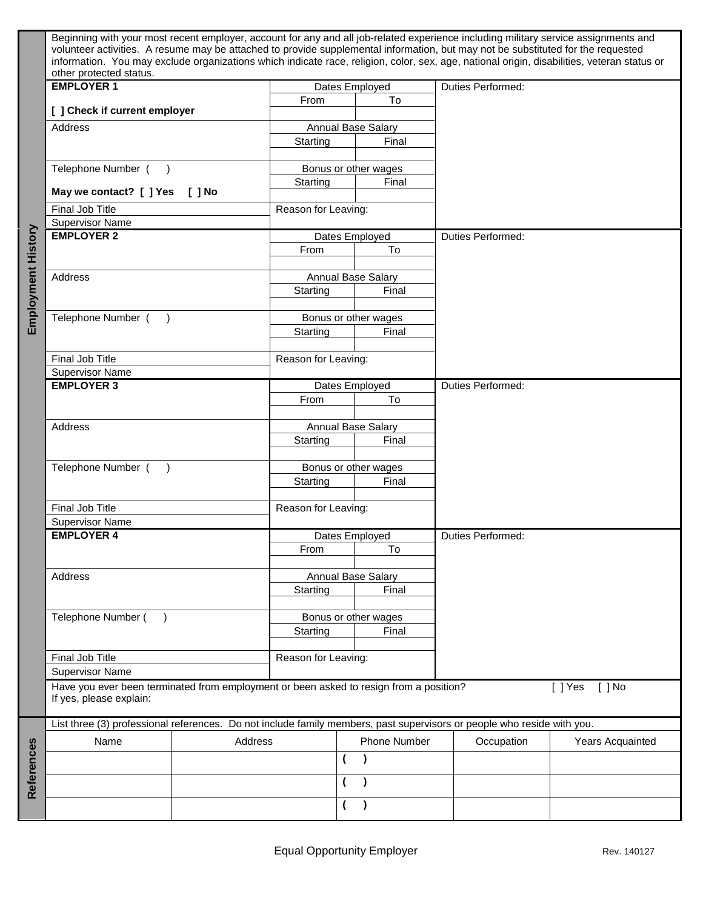|                    | Beginning with your most recent employer, account for any and all job-related experience including military service assignments and<br>volunteer activities. A resume may be attached to provide supplemental information, but may not be substituted for the requested<br>information. You may exclude organizations which indicate race, religion, color, sex, age, national origin, disabilities, veteran status or |                      |                      |                          |                       |  |
|--------------------|------------------------------------------------------------------------------------------------------------------------------------------------------------------------------------------------------------------------------------------------------------------------------------------------------------------------------------------------------------------------------------------------------------------------|----------------------|----------------------|--------------------------|-----------------------|--|
|                    | other protected status.                                                                                                                                                                                                                                                                                                                                                                                                |                      |                      |                          |                       |  |
|                    | <b>EMPLOYER 1</b>                                                                                                                                                                                                                                                                                                                                                                                                      | Dates Employed       |                      | <b>Duties Performed:</b> |                       |  |
|                    | [ ] Check if current employer                                                                                                                                                                                                                                                                                                                                                                                          | From                 | To                   |                          |                       |  |
|                    | Address                                                                                                                                                                                                                                                                                                                                                                                                                |                      |                      |                          |                       |  |
|                    |                                                                                                                                                                                                                                                                                                                                                                                                                        | Annual Base Salary   |                      |                          |                       |  |
|                    |                                                                                                                                                                                                                                                                                                                                                                                                                        | Starting             | Final                |                          |                       |  |
|                    |                                                                                                                                                                                                                                                                                                                                                                                                                        |                      |                      |                          |                       |  |
|                    | Telephone Number (                                                                                                                                                                                                                                                                                                                                                                                                     |                      | Bonus or other wages |                          |                       |  |
|                    | May we contact? [ ] Yes<br>$[ ]$ No                                                                                                                                                                                                                                                                                                                                                                                    | Starting             | Final                |                          |                       |  |
|                    | Final Job Title                                                                                                                                                                                                                                                                                                                                                                                                        | Reason for Leaving:  |                      |                          |                       |  |
|                    | <b>Supervisor Name</b>                                                                                                                                                                                                                                                                                                                                                                                                 |                      |                      |                          |                       |  |
| Employment History | <b>EMPLOYER 2</b>                                                                                                                                                                                                                                                                                                                                                                                                      |                      | Dates Employed       | <b>Duties Performed:</b> |                       |  |
|                    |                                                                                                                                                                                                                                                                                                                                                                                                                        | From                 | To                   |                          |                       |  |
|                    |                                                                                                                                                                                                                                                                                                                                                                                                                        |                      |                      |                          |                       |  |
|                    |                                                                                                                                                                                                                                                                                                                                                                                                                        |                      |                      |                          |                       |  |
|                    | Address                                                                                                                                                                                                                                                                                                                                                                                                                | Annual Base Salary   |                      |                          |                       |  |
|                    |                                                                                                                                                                                                                                                                                                                                                                                                                        | Starting<br>Final    |                      |                          |                       |  |
|                    |                                                                                                                                                                                                                                                                                                                                                                                                                        |                      |                      |                          |                       |  |
|                    | Telephone Number (                                                                                                                                                                                                                                                                                                                                                                                                     |                      | Bonus or other wages |                          |                       |  |
|                    |                                                                                                                                                                                                                                                                                                                                                                                                                        | Starting             | Final                |                          |                       |  |
|                    |                                                                                                                                                                                                                                                                                                                                                                                                                        |                      |                      |                          |                       |  |
|                    | Final Job Title                                                                                                                                                                                                                                                                                                                                                                                                        | Reason for Leaving:  |                      |                          |                       |  |
|                    | <b>Supervisor Name</b>                                                                                                                                                                                                                                                                                                                                                                                                 |                      |                      |                          |                       |  |
|                    | <b>EMPLOYER 3</b>                                                                                                                                                                                                                                                                                                                                                                                                      |                      | Dates Employed       | <b>Duties Performed:</b> |                       |  |
|                    |                                                                                                                                                                                                                                                                                                                                                                                                                        | From                 |                      |                          |                       |  |
|                    |                                                                                                                                                                                                                                                                                                                                                                                                                        |                      | To                   |                          |                       |  |
|                    |                                                                                                                                                                                                                                                                                                                                                                                                                        |                      |                      |                          |                       |  |
|                    | Address                                                                                                                                                                                                                                                                                                                                                                                                                | Annual Base Salary   |                      |                          |                       |  |
|                    |                                                                                                                                                                                                                                                                                                                                                                                                                        | Starting<br>Final    |                      |                          |                       |  |
|                    |                                                                                                                                                                                                                                                                                                                                                                                                                        |                      |                      |                          |                       |  |
|                    | Telephone Number (                                                                                                                                                                                                                                                                                                                                                                                                     | Bonus or other wages |                      |                          |                       |  |
|                    |                                                                                                                                                                                                                                                                                                                                                                                                                        | Starting             | Final                |                          |                       |  |
|                    |                                                                                                                                                                                                                                                                                                                                                                                                                        |                      |                      |                          |                       |  |
|                    | Final Job Title                                                                                                                                                                                                                                                                                                                                                                                                        | Reason for Leaving:  |                      |                          |                       |  |
|                    | <b>Supervisor Name</b>                                                                                                                                                                                                                                                                                                                                                                                                 |                      |                      |                          |                       |  |
|                    | <b>EMPLOYER 4</b>                                                                                                                                                                                                                                                                                                                                                                                                      | Dates Employed       |                      | <b>Duties Performed:</b> |                       |  |
|                    |                                                                                                                                                                                                                                                                                                                                                                                                                        | From<br>To           |                      |                          |                       |  |
|                    |                                                                                                                                                                                                                                                                                                                                                                                                                        |                      |                      |                          |                       |  |
|                    |                                                                                                                                                                                                                                                                                                                                                                                                                        |                      |                      |                          |                       |  |
|                    | Address                                                                                                                                                                                                                                                                                                                                                                                                                | Annual Base Salary   |                      |                          |                       |  |
|                    |                                                                                                                                                                                                                                                                                                                                                                                                                        | Starting             | Final                |                          |                       |  |
|                    |                                                                                                                                                                                                                                                                                                                                                                                                                        |                      |                      |                          |                       |  |
|                    | Telephone Number (                                                                                                                                                                                                                                                                                                                                                                                                     |                      | Bonus or other wages |                          |                       |  |
|                    |                                                                                                                                                                                                                                                                                                                                                                                                                        | Starting             | Final                |                          |                       |  |
|                    |                                                                                                                                                                                                                                                                                                                                                                                                                        |                      |                      |                          |                       |  |
|                    | Final Job Title                                                                                                                                                                                                                                                                                                                                                                                                        | Reason for Leaving:  |                      |                          |                       |  |
|                    | <b>Supervisor Name</b>                                                                                                                                                                                                                                                                                                                                                                                                 |                      |                      |                          |                       |  |
|                    | Have you ever been terminated from employment or been asked to resign from a position?                                                                                                                                                                                                                                                                                                                                 |                      |                      |                          | $[ ]$ No<br>$[$ ] Yes |  |
|                    | If yes, please explain:                                                                                                                                                                                                                                                                                                                                                                                                |                      |                      |                          |                       |  |
|                    | List three (3) professional references. Do not include family members, past supervisors or people who reside with you.                                                                                                                                                                                                                                                                                                 |                      |                      |                          |                       |  |
|                    |                                                                                                                                                                                                                                                                                                                                                                                                                        |                      |                      |                          |                       |  |
|                    | Name<br>Address                                                                                                                                                                                                                                                                                                                                                                                                        |                      | Phone Number         | Occupation               | Years Acquainted      |  |
|                    |                                                                                                                                                                                                                                                                                                                                                                                                                        |                      | (                    |                          |                       |  |
|                    |                                                                                                                                                                                                                                                                                                                                                                                                                        |                      |                      |                          |                       |  |
| References         |                                                                                                                                                                                                                                                                                                                                                                                                                        |                      | (                    |                          |                       |  |
|                    |                                                                                                                                                                                                                                                                                                                                                                                                                        |                      |                      |                          |                       |  |
|                    |                                                                                                                                                                                                                                                                                                                                                                                                                        |                      |                      |                          |                       |  |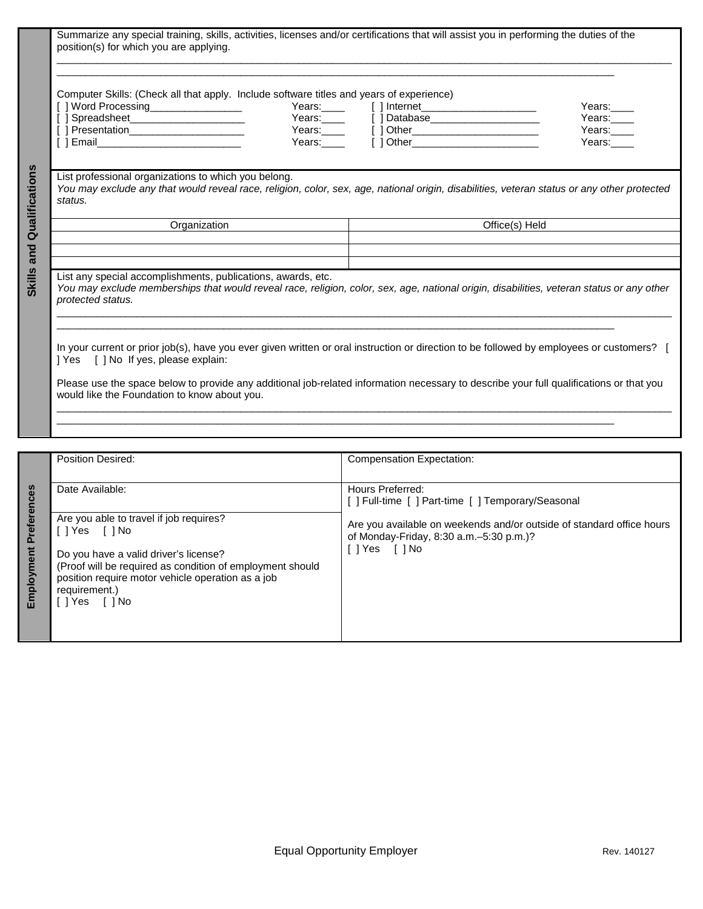|                                                                                                                                                                                                                | Computer Skills: (Check all that apply. Include software titles and years of experience)<br>[ ] Word Processing__________________<br>[] Spreadsheet_______________________<br>[] Presentation_______________________ |  | Years:______  [ ] Database________________________<br>Years: [] Other<br>Years: [] Other | Years:<br>Years:____<br>Years:<br>Years:                                                                                                  |  |
|----------------------------------------------------------------------------------------------------------------------------------------------------------------------------------------------------------------|----------------------------------------------------------------------------------------------------------------------------------------------------------------------------------------------------------------------|--|------------------------------------------------------------------------------------------|-------------------------------------------------------------------------------------------------------------------------------------------|--|
| List professional organizations to which you belong.<br>You may exclude any that would reveal race, religion, color, sex, age, national origin, disabilities, veteran status or any other protected<br>status. |                                                                                                                                                                                                                      |  |                                                                                          |                                                                                                                                           |  |
| Organization                                                                                                                                                                                                   |                                                                                                                                                                                                                      |  | Office(s) Held                                                                           |                                                                                                                                           |  |
|                                                                                                                                                                                                                |                                                                                                                                                                                                                      |  |                                                                                          |                                                                                                                                           |  |
|                                                                                                                                                                                                                |                                                                                                                                                                                                                      |  |                                                                                          |                                                                                                                                           |  |
|                                                                                                                                                                                                                |                                                                                                                                                                                                                      |  |                                                                                          |                                                                                                                                           |  |
| protected status.                                                                                                                                                                                              | List any special accomplishments, publications, awards, etc.                                                                                                                                                         |  |                                                                                          | You may exclude memberships that would reveal race, religion, color, sex, age, national origin, disabilities, veteran status or any other |  |
| ] Yes [ ] No If yes, please explain:                                                                                                                                                                           |                                                                                                                                                                                                                      |  |                                                                                          | In your current or prior job(s), have you ever given written or oral instruction or direction to be followed by employees or customers? [ |  |

|                               | <b>Position Desired:</b>                                                                                                                                                                                                                                           | Compensation Expectation:                                                                                                                                                                                 |
|-------------------------------|--------------------------------------------------------------------------------------------------------------------------------------------------------------------------------------------------------------------------------------------------------------------|-----------------------------------------------------------------------------------------------------------------------------------------------------------------------------------------------------------|
| references<br>ᅀ<br>Employment | Date Available:<br>Are you able to travel if job requires?<br>IlYes IlNo<br>Do you have a valid driver's license?<br>(Proof will be required as condition of employment should<br>position require motor vehicle operation as a job<br>requirement.)<br>ilYes []No | Hours Preferred:<br>[ ] Full-time [ ] Part-time [ ] Temporary/Seasonal<br>Are you available on weekends and/or outside of standard office hours<br>of Monday-Friday, 8:30 a.m. - 5:30 p.m.)?<br>lYes []No |
|                               |                                                                                                                                                                                                                                                                    |                                                                                                                                                                                                           |